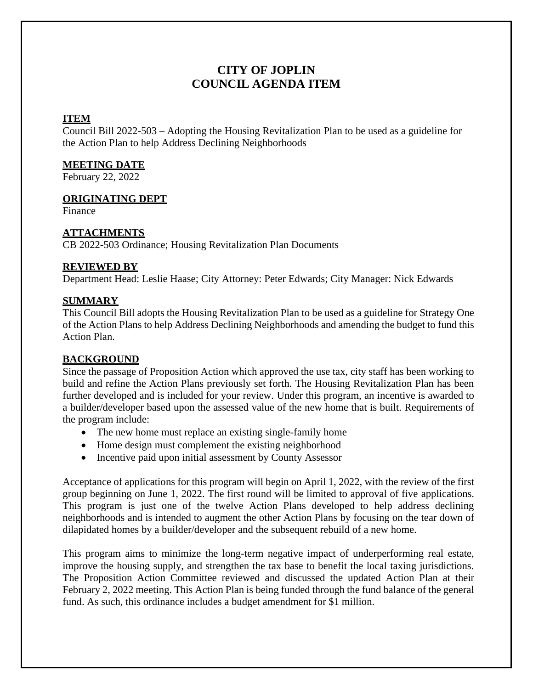# **CITY OF JOPLIN COUNCIL AGENDA ITEM**

# **ITEM**

Council Bill 2022-503 – Adopting the Housing Revitalization Plan to be used as a guideline for the Action Plan to help Address Declining Neighborhoods

## **MEETING DATE**

February 22, 2022

#### **ORIGINATING DEPT**

Finance

# **ATTACHMENTS**

CB 2022-503 Ordinance; Housing Revitalization Plan Documents

#### **REVIEWED BY**

Department Head: Leslie Haase; City Attorney: Peter Edwards; City Manager: Nick Edwards

#### **SUMMARY**

This Council Bill adopts the Housing Revitalization Plan to be used as a guideline for Strategy One of the Action Plans to help Address Declining Neighborhoods and amending the budget to fund this Action Plan.

## **BACKGROUND**

Since the passage of Proposition Action which approved the use tax, city staff has been working to build and refine the Action Plans previously set forth. The Housing Revitalization Plan has been further developed and is included for your review. Under this program, an incentive is awarded to a builder/developer based upon the assessed value of the new home that is built. Requirements of the program include:

- The new home must replace an existing single-family home
- Home design must complement the existing neighborhood
- Incentive paid upon initial assessment by County Assessor

Acceptance of applications for this program will begin on April 1, 2022, with the review of the first group beginning on June 1, 2022. The first round will be limited to approval of five applications. This program is just one of the twelve Action Plans developed to help address declining neighborhoods and is intended to augment the other Action Plans by focusing on the tear down of dilapidated homes by a builder/developer and the subsequent rebuild of a new home.

This program aims to minimize the long-term negative impact of underperforming real estate, improve the housing supply, and strengthen the tax base to benefit the local taxing jurisdictions. The Proposition Action Committee reviewed and discussed the updated Action Plan at their February 2, 2022 meeting. This Action Plan is being funded through the fund balance of the general fund. As such, this ordinance includes a budget amendment for \$1 million.